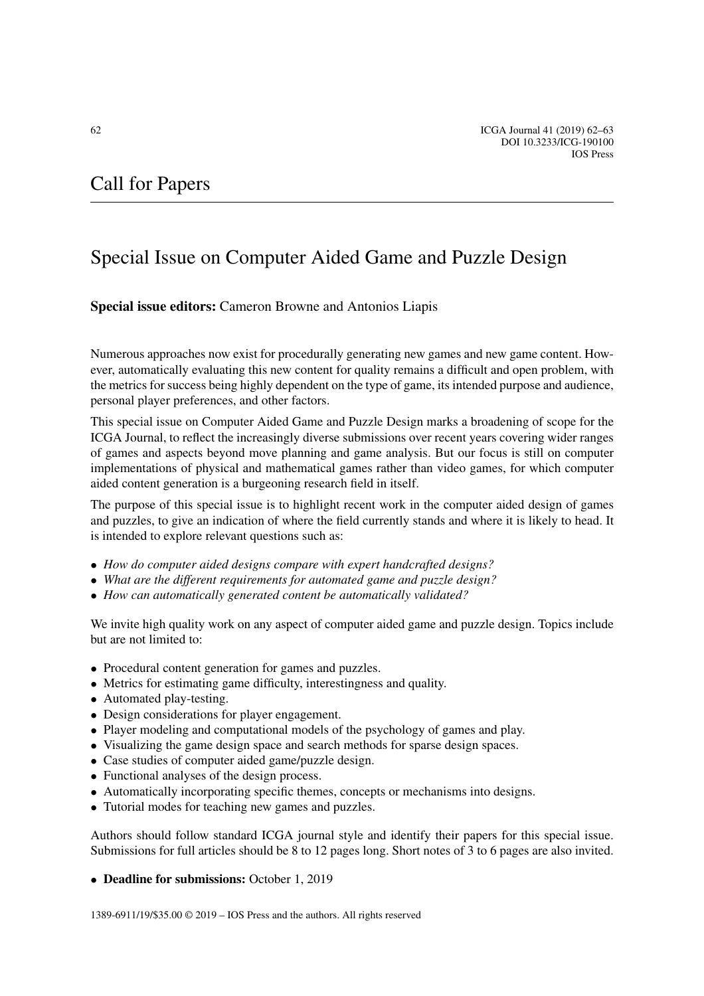## Call for Papers

## Special Issue on Computer Aided Game and Puzzle Design

## **Special issue editors:** Cameron Browne and Antonios Liapis

Numerous approaches now exist for procedurally generating new games and new game content. However, automatically evaluating this new content for quality remains a difficult and open problem, with the metrics for success being highly dependent on the type of game, its intended purpose and audience, personal player preferences, and other factors.

This special issue on Computer Aided Game and Puzzle Design marks a broadening of scope for the ICGA Journal, to reflect the increasingly diverse submissions over recent years covering wider ranges of games and aspects beyond move planning and game analysis. But our focus is still on computer implementations of physical and mathematical games rather than video games, for which computer aided content generation is a burgeoning research field in itself.

The purpose of this special issue is to highlight recent work in the computer aided design of games and puzzles, to give an indication of where the field currently stands and where it is likely to head. It is intended to explore relevant questions such as:

- *How do computer aided designs compare with expert handcrafted designs?*
- *What are the different requirements for automated game and puzzle design?*
- *How can automatically generated content be automatically validated?*

We invite high quality work on any aspect of computer aided game and puzzle design. Topics include but are not limited to:

- Procedural content generation for games and puzzles.
- Metrics for estimating game difficulty, interestingness and quality.
- Automated play-testing.
- Design considerations for player engagement.
- Player modeling and computational models of the psychology of games and play.
- Visualizing the game design space and search methods for sparse design spaces.
- Case studies of computer aided game/puzzle design.
- Functional analyses of the design process.
- Automatically incorporating specific themes, concepts or mechanisms into designs.
- Tutorial modes for teaching new games and puzzles.

Authors should follow standard ICGA journal style and identify their papers for this special issue. Submissions for full articles should be 8 to 12 pages long. Short notes of 3 to 6 pages are also invited.

• **Deadline for submissions:** October 1, 2019

1389-6911/19/\$35.00 © 2019 – IOS Press and the authors. All rights reserved